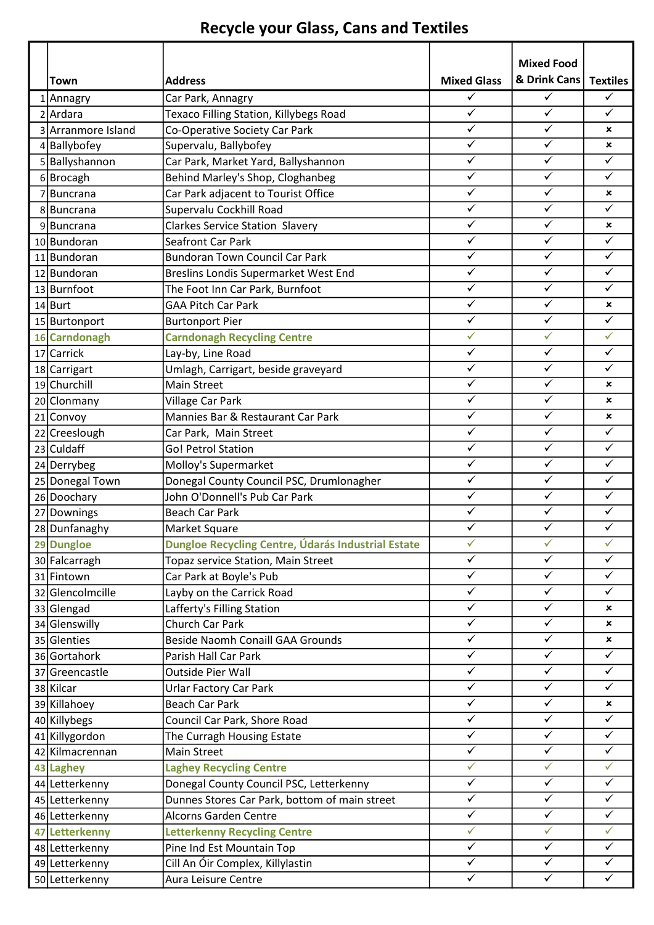## Recycle your Glass, Cans and Textiles

| Town               | <b>Address</b>                                     | <b>Mixed Glass</b>      | <b>Mixed Food</b><br>& Drink Cans | <b>Textiles</b>           |
|--------------------|----------------------------------------------------|-------------------------|-----------------------------------|---------------------------|
| 1 Annagry          | Car Park, Annagry                                  | ✓                       | $\checkmark$                      | ✓                         |
| 2 Ardara           | <b>Texaco Filling Station, Killybegs Road</b>      | $\overline{\checkmark}$ | $\overline{\checkmark}$           | $\checkmark$              |
| 3 Arranmore Island | Co-Operative Society Car Park                      | $\checkmark$            | $\checkmark$                      | $\boldsymbol{\mathsf{x}}$ |
| 4 Ballybofey       | Supervalu, Ballybofey                              | $\checkmark$            | $\checkmark$                      | $\mathbf x$               |
| 5 Ballyshannon     | Car Park, Market Yard, Ballyshannon                | $\checkmark$            | $\checkmark$                      | $\checkmark$              |
| 6Brocagh           | Behind Marley's Shop, Cloghanbeg                   | $\checkmark$            | $\checkmark$                      | $\checkmark$              |
| 7Buncrana          | Car Park adjacent to Tourist Office                | $\checkmark$            | $\checkmark$                      | ×                         |
| 8Buncrana          | Supervalu Cockhill Road                            | $\checkmark$            | $\checkmark$                      | $\checkmark$              |
| 9Buncrana          | <b>Clarkes Service Station Slavery</b>             | $\checkmark$            | $\checkmark$                      | ×                         |
| 10 Bundoran        | Seafront Car Park                                  | $\checkmark$            | $\checkmark$                      | $\checkmark$              |
| 11 Bundoran        | <b>Bundoran Town Council Car Park</b>              | $\checkmark$            | $\checkmark$                      | $\checkmark$              |
| 12 Bundoran        | Breslins Londis Supermarket West End               | $\checkmark$            | $\checkmark$                      | $\checkmark$              |
| 13 Burnfoot        | The Foot Inn Car Park, Burnfoot                    | $\checkmark$            | $\checkmark$                      | $\checkmark$              |
| 14 Burt            | <b>GAA Pitch Car Park</b>                          | $\checkmark$            | $\checkmark$                      | ×                         |
|                    |                                                    | $\checkmark$            | $\checkmark$                      | $\checkmark$              |
| 15 Burtonport      | <b>Burtonport Pier</b>                             | $\checkmark$            | $\checkmark$                      | $\checkmark$              |
| 16 Carndonagh      | <b>Carndonagh Recycling Centre</b>                 | $\checkmark$            | $\checkmark$                      | $\checkmark$              |
| 17 Carrick         | Lay-by, Line Road                                  | $\checkmark$            | $\checkmark$                      | $\checkmark$              |
| 18 Carrigart       | Umlagh, Carrigart, beside graveyard                | ✓                       | $\checkmark$                      |                           |
| 19 Churchill       | <b>Main Street</b>                                 | $\checkmark$            | $\checkmark$                      | ×                         |
| 20 Clonmany        | Village Car Park                                   | $\checkmark$            | $\checkmark$                      | ×                         |
| 21 Convoy          | Mannies Bar & Restaurant Car Park                  |                         |                                   | $\boldsymbol{\mathsf{x}}$ |
| 22 Creeslough      | Car Park, Main Street                              | $\checkmark$            | $\checkmark$                      | $\checkmark$              |
| 23 Culdaff         | <b>Go! Petrol Station</b>                          | $\checkmark$            | $\overline{\checkmark}$           | $\checkmark$              |
| 24 Derrybeg        | Molloy's Supermarket                               | $\checkmark$            | $\checkmark$                      | ✓                         |
| 25 Donegal Town    | Donegal County Council PSC, Drumlonagher           | $\checkmark$            | $\checkmark$                      | $\checkmark$              |
| 26 Doochary        | John O'Donnell's Pub Car Park                      | $\checkmark$            | $\checkmark$                      | $\checkmark$              |
| 27 Downings        | <b>Beach Car Park</b>                              | $\checkmark$            | $\checkmark$                      | $\checkmark$              |
| 28 Dunfanaghy      | Market Square                                      | ✓                       | $\checkmark$                      | $\checkmark$              |
| 29 Dungloe         | Dungloe Recycling Centre, Údarás Industrial Estate | $\checkmark$            | $\checkmark$                      | $\checkmark$              |
| 30 Falcarragh      | Topaz service Station, Main Street                 | $\overline{\checkmark}$ | $\overline{\checkmark}$           | $\checkmark$              |
| 31 Fintown         | Car Park at Boyle's Pub                            | $\checkmark$            | $\checkmark$                      | $\checkmark$              |
| 32 Glencolmcille   | Layby on the Carrick Road                          | $\checkmark$            | $\checkmark$                      | $\checkmark$              |
| 33 Glengad         | Lafferty's Filling Station                         | $\checkmark$            | $\checkmark$                      | ×                         |
| 34 Glenswilly      | Church Car Park                                    | $\checkmark$            | $\checkmark$                      | $\boldsymbol{\mathsf{x}}$ |
| 35 Glenties        | <b>Beside Naomh Conaill GAA Grounds</b>            | $\checkmark$            | $\overline{\checkmark}$           | ×                         |
| 36 Gortahork       | Parish Hall Car Park                               | $\checkmark$            | $\checkmark$                      | $\checkmark$              |
| 37 Greencastle     | <b>Outside Pier Wall</b>                           | $\overline{\checkmark}$ | $\checkmark$                      | $\checkmark$              |
| 38 Kilcar          | Urlar Factory Car Park                             | $\checkmark$            | $\checkmark$                      | $\checkmark$              |
| 39 Killahoey       | <b>Beach Car Park</b>                              | $\checkmark$            | $\checkmark$                      | ×                         |
| 40 Killybegs       | Council Car Park, Shore Road                       | $\overline{\checkmark}$ | $\checkmark$                      | $\checkmark$              |
| 41 Killygordon     | The Curragh Housing Estate                         | $\checkmark$            | $\checkmark$                      | $\checkmark$              |
| 42 Kilmacrennan    | Main Street                                        | $\checkmark$            | $\overline{\checkmark}$           | $\checkmark$              |
| 43 Laghey          | <b>Laghey Recycling Centre</b>                     | $\checkmark$            | $\checkmark$                      | $\checkmark$              |
| 44 Letterkenny     | Donegal County Council PSC, Letterkenny            | $\checkmark$            | $\checkmark$                      | $\checkmark$              |
| 45 Letterkenny     | Dunnes Stores Car Park, bottom of main street      | $\checkmark$            | $\checkmark$                      | $\checkmark$              |
| 46 Letterkenny     | <b>Alcorns Garden Centre</b>                       | $\checkmark$            | $\checkmark$                      | $\checkmark$              |
| 47 Letterkenny     | <b>Letterkenny Recycling Centre</b>                | $\checkmark$            | $\checkmark$                      | $\checkmark$              |
| 48 Letterkenny     | Pine Ind Est Mountain Top                          | $\checkmark$            | $\checkmark$                      | $\checkmark$              |
| 49 Letterkenny     | Cill An Óir Complex, Killylastin                   | $\checkmark$            | $\checkmark$                      | $\checkmark$              |
| 50 Letterkenny     | Aura Leisure Centre                                | $\checkmark$            | $\checkmark$                      | $\checkmark$              |